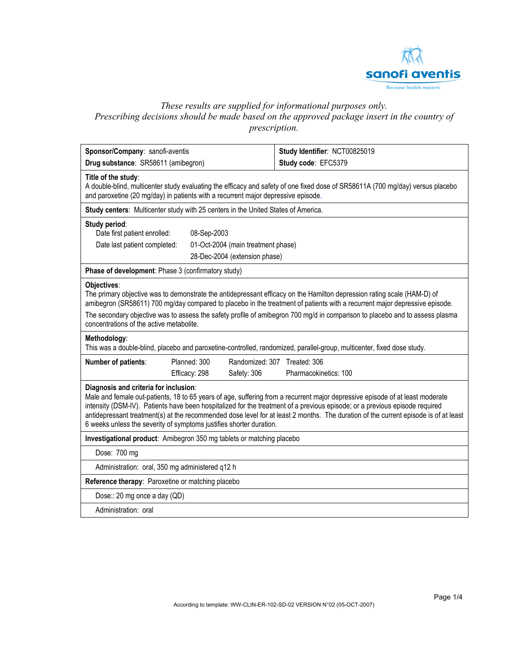

# *These results are supplied for informational purposes only. Prescribing decisions should be made based on the approved package insert in the country of prescription.*

| Sponsor/Company: sanofi-aventis                                                                                                                                                                                                                                                                                                                                                                                                                                                                                     |                                                                                    | Study Identifier: NCT00825019                         |  |  |  |
|---------------------------------------------------------------------------------------------------------------------------------------------------------------------------------------------------------------------------------------------------------------------------------------------------------------------------------------------------------------------------------------------------------------------------------------------------------------------------------------------------------------------|------------------------------------------------------------------------------------|-------------------------------------------------------|--|--|--|
| Drug substance: SR58611 (amibegron)                                                                                                                                                                                                                                                                                                                                                                                                                                                                                 |                                                                                    | Study code: EFC5379                                   |  |  |  |
| Title of the study:<br>A double-blind, multicenter study evaluating the efficacy and safety of one fixed dose of SR58611A (700 mg/day) versus placebo<br>and paroxetine (20 mg/day) in patients with a recurrent major depressive episode.                                                                                                                                                                                                                                                                          |                                                                                    |                                                       |  |  |  |
| Study centers: Multicenter study with 25 centers in the United States of America.                                                                                                                                                                                                                                                                                                                                                                                                                                   |                                                                                    |                                                       |  |  |  |
| Study period:<br>Date first patient enrolled:<br>Date last patient completed:                                                                                                                                                                                                                                                                                                                                                                                                                                       | 08-Sep-2003<br>01-Oct-2004 (main treatment phase)<br>28-Dec-2004 (extension phase) |                                                       |  |  |  |
| Phase of development: Phase 3 (confirmatory study)                                                                                                                                                                                                                                                                                                                                                                                                                                                                  |                                                                                    |                                                       |  |  |  |
| Objectives:<br>The primary objective was to demonstrate the antidepressant efficacy on the Hamilton depression rating scale (HAM-D) of<br>amibegron (SR58611) 700 mg/day compared to placebo in the treatment of patients with a recurrent major depressive episode.<br>The secondary objective was to assess the safety profile of amibegron 700 mg/d in comparison to placebo and to assess plasma<br>concentrations of the active metabolite.                                                                    |                                                                                    |                                                       |  |  |  |
| Methodology:<br>This was a double-blind, placebo and paroxetine-controlled, randomized, parallel-group, multicenter, fixed dose study.                                                                                                                                                                                                                                                                                                                                                                              |                                                                                    |                                                       |  |  |  |
| Number of patients:                                                                                                                                                                                                                                                                                                                                                                                                                                                                                                 | Planned: 300<br>Safety: 306<br>Efficacy: 298                                       | Randomized: 307 Treated: 306<br>Pharmacokinetics: 100 |  |  |  |
| Diagnosis and criteria for inclusion:<br>Male and female out-patients, 18 to 65 years of age, suffering from a recurrent major depressive episode of at least moderate<br>intensity (DSM-IV). Patients have been hospitalized for the treatment of a previous episode; or a previous episode required<br>antidepressant treatment(s) at the recommended dose level for at least 2 months. The duration of the current episode is of at least<br>6 weeks unless the severity of symptoms justifies shorter duration. |                                                                                    |                                                       |  |  |  |
| Investigational product: Amibegron 350 mg tablets or matching placebo                                                                                                                                                                                                                                                                                                                                                                                                                                               |                                                                                    |                                                       |  |  |  |
| Dose: 700 mg                                                                                                                                                                                                                                                                                                                                                                                                                                                                                                        |                                                                                    |                                                       |  |  |  |
| Administration: oral, 350 mg administered q12 h                                                                                                                                                                                                                                                                                                                                                                                                                                                                     |                                                                                    |                                                       |  |  |  |
| Reference therapy: Paroxetine or matching placebo                                                                                                                                                                                                                                                                                                                                                                                                                                                                   |                                                                                    |                                                       |  |  |  |
| Dose:: 20 mg once a day (QD)                                                                                                                                                                                                                                                                                                                                                                                                                                                                                        |                                                                                    |                                                       |  |  |  |
| Administration: oral                                                                                                                                                                                                                                                                                                                                                                                                                                                                                                |                                                                                    |                                                       |  |  |  |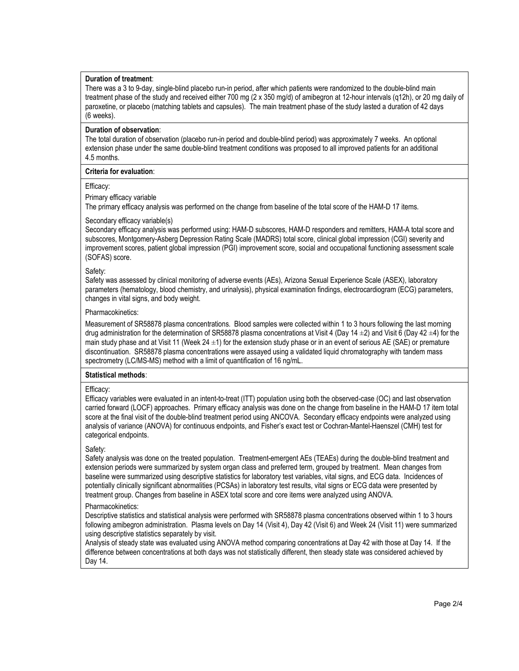# **Duration of treatment**:

There was a 3 to 9-day, single-blind placebo run-in period, after which patients were randomized to the double-blind main treatment phase of the study and received either 700 mg (2 x 350 mg/d) of amibegron at 12-hour intervals (q12h), or 20 mg daily of paroxetine, or placebo (matching tablets and capsules). The main treatment phase of the study lasted a duration of 42 days (6 weeks).

## **Duration of observation**:

The total duration of observation (placebo run-in period and double-blind period) was approximately 7 weeks. An optional extension phase under the same double-blind treatment conditions was proposed to all improved patients for an additional 4.5 months.

## **Criteria for evaluation**:

#### Efficacy:

## Primary efficacy variable

The primary efficacy analysis was performed on the change from baseline of the total score of the HAM-D 17 items.

#### Secondary efficacy variable(s)

Secondary efficacy analysis was performed using: HAM-D subscores, HAM-D responders and remitters, HAM-A total score and subscores, Montgomery-Asberg Depression Rating Scale (MADRS) total score, clinical global impression (CGI) severity and improvement scores, patient global impression (PGI) improvement score, social and occupational functioning assessment scale (SOFAS) score.

#### Safety:

Safety was assessed by clinical monitoring of adverse events (AEs), Arizona Sexual Experience Scale (ASEX), laboratory parameters (hematology, blood chemistry, and urinalysis), physical examination findings, electrocardiogram (ECG) parameters, changes in vital signs, and body weight.

#### Pharmacokinetics:

Measurement of SR58878 plasma concentrations. Blood samples were collected within 1 to 3 hours following the last morning drug administration for the determination of SR58878 plasma concentrations at Visit 4 (Day 14  $\pm$ 2) and Visit 6 (Day 42  $\pm$ 4) for the main study phase and at Visit 11 (Week 24  $\pm$ 1) for the extension study phase or in an event of serious AE (SAE) or premature discontinuation. SR58878 plasma concentrations were assayed using a validated liquid chromatography with tandem mass spectrometry (LC/MS-MS) method with a limit of quantification of 16 ng/mL.

## **Statistical methods**:

## Efficacy:

Efficacy variables were evaluated in an intent-to-treat (ITT) population using both the observed-case (OC) and last observation carried forward (LOCF) approaches. Primary efficacy analysis was done on the change from baseline in the HAM-D 17 item total score at the final visit of the double-blind treatment period using ANCOVA. Secondary efficacy endpoints were analyzed using analysis of variance (ANOVA) for continuous endpoints, and Fisher's exact test or Cochran-Mantel-Haenszel (CMH) test for categorical endpoints.

## Safety:

Safety analysis was done on the treated population. Treatment-emergent AEs (TEAEs) during the double-blind treatment and extension periods were summarized by system organ class and preferred term, grouped by treatment. Mean changes from baseline were summarized using descriptive statistics for laboratory test variables, vital signs, and ECG data. Incidences of potentially clinically significant abnormalities (PCSAs) in laboratory test results, vital signs or ECG data were presented by treatment group. Changes from baseline in ASEX total score and core items were analyzed using ANOVA.

## Pharmacokinetics:

Descriptive statistics and statistical analysis were performed with SR58878 plasma concentrations observed within 1 to 3 hours following amibegron administration. Plasma levels on Day 14 (Visit 4), Day 42 (Visit 6) and Week 24 (Visit 11) were summarized using descriptive statistics separately by visit.

Analysis of steady state was evaluated using ANOVA method comparing concentrations at Day 42 with those at Day 14. If the difference between concentrations at both days was not statistically different, then steady state was considered achieved by Day 14.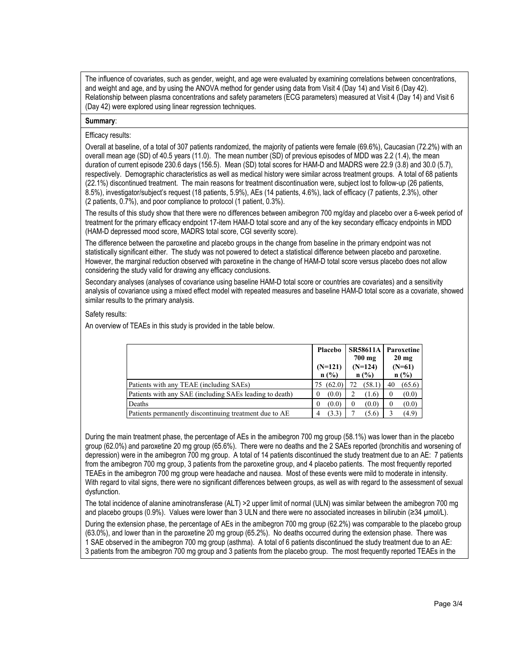The influence of covariates, such as gender, weight, and age were evaluated by examining correlations between concentrations, and weight and age, and by using the ANOVA method for gender using data from Visit 4 (Day 14) and Visit 6 (Day 42). Relationship between plasma concentrations and safety parameters (ECG parameters) measured at Visit 4 (Day 14) and Visit 6 (Day 42) were explored using linear regression techniques.

# **Summary**:

## Efficacy results:

Overall at baseline, of a total of 307 patients randomized, the majority of patients were female (69.6%), Caucasian (72.2%) with an overall mean age (SD) of 40.5 years (11.0). The mean number (SD) of previous episodes of MDD was 2.2 (1.4), the mean duration of current episode 230.6 days (156.5). Mean (SD) total scores for HAM-D and MADRS were 22.9 (3.8) and 30.0 (5.7), respectively. Demographic characteristics as well as medical history were similar across treatment groups. A total of 68 patients (22.1%) discontinued treatment. The main reasons for treatment discontinuation were, subject lost to follow-up (26 patients, 8.5%), investigator/subject's request (18 patients, 5.9%), AEs (14 patients, 4.6%), lack of efficacy (7 patients, 2.3%), other (2 patients, 0.7%), and poor compliance to protocol (1 patient, 0.3%).

The results of this study show that there were no differences between amibegron 700 mg/day and placebo over a 6-week period of treatment for the primary efficacy endpoint 17-item HAM-D total score and any of the key secondary efficacy endpoints in MDD (HAM-D depressed mood score, MADRS total score, CGI severity score).

The difference between the paroxetine and placebo groups in the change from baseline in the primary endpoint was not statistically significant either. The study was not powered to detect a statistical difference between placebo and paroxetine. However, the marginal reduction observed with paroxetine in the change of HAM-D total score versus placebo does not allow considering the study valid for drawing any efficacy conclusions.

Secondary analyses (analyses of covariance using baseline HAM-D total score or countries are covariates) and a sensitivity analysis of covariance using a mixed effect model with repeated measures and baseline HAM-D total score as a covariate, showed similar results to the primary analysis.

# Safety results:

An overview of TEAEs in this study is provided in the table below.

|                                                         | Placebo<br>$(N=121)$<br>$n$ (%) | <b>SR58611A</b><br>700 mg<br>$(N=124)$<br>n(%) | <b>Paroxetine</b><br>$20 \text{ mg}$<br>$(N=61)$<br>n(%) |
|---------------------------------------------------------|---------------------------------|------------------------------------------------|----------------------------------------------------------|
| Patients with any TEAE (including SAEs)                 | (62.0)<br>75                    | (58.1)<br>72                                   | (65.6)<br>40                                             |
| Patients with any SAE (including SAEs leading to death) | (0.0)<br>$\theta$               | (1.6)                                          | (0.0)                                                    |
| Deaths                                                  | (0.0)<br>$\theta$               | (0.0)                                          | (0.0)                                                    |
| Patients permanently discontinuing treatment due to AE  | (3.3)<br>4                      | (5.6)                                          | (4.9)                                                    |

During the main treatment phase, the percentage of AEs in the amibegron 700 mg group (58.1%) was lower than in the placebo group (62.0%) and paroxetine 20 mg group (65.6%). There were no deaths and the 2 SAEs reported (bronchitis and worsening of depression) were in the amibegron 700 mg group. A total of 14 patients discontinued the study treatment due to an AE: 7 patients from the amibegron 700 mg group, 3 patients from the paroxetine group, and 4 placebo patients. The most frequently reported TEAEs in the amibegron 700 mg group were headache and nausea. Most of these events were mild to moderate in intensity. With regard to vital signs, there were no significant differences between groups, as well as with regard to the assessment of sexual dysfunction.

The total incidence of alanine aminotransferase (ALT) >2 upper limit of normal (ULN) was similar between the amibegron 700 mg and placebo groups (0.9%). Values were lower than 3 ULN and there were no associated increases in bilirubin (≥34 µmol/L).

During the extension phase, the percentage of AEs in the amibegron 700 mg group (62.2%) was comparable to the placebo group (63.0%), and lower than in the paroxetine 20 mg group (65.2%). No deaths occurred during the extension phase. There was 1 SAE observed in the amibegron 700 mg group (asthma). A total of 6 patients discontinued the study treatment due to an AE: 3 patients from the amibegron 700 mg group and 3 patients from the placebo group. The most frequently reported TEAEs in the